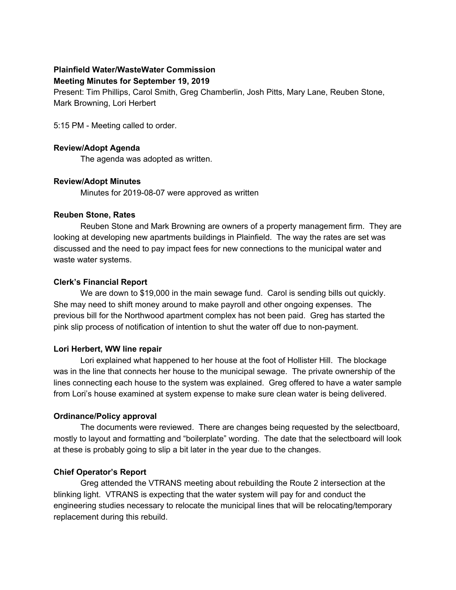# **Plainfield Water/WasteWater Commission**

#### **Meeting Minutes for September 19, 2019**

Present: Tim Phillips, Carol Smith, Greg Chamberlin, Josh Pitts, Mary Lane, Reuben Stone, Mark Browning, Lori Herbert

5:15 PM - Meeting called to order.

#### **Review/Adopt Agenda**

The agenda was adopted as written.

### **Review/Adopt Minutes**

Minutes for 2019-08-07 were approved as written

#### **Reuben Stone, Rates**

Reuben Stone and Mark Browning are owners of a property management firm. They are looking at developing new apartments buildings in Plainfield. The way the rates are set was discussed and the need to pay impact fees for new connections to the municipal water and waste water systems.

### **Clerk's Financial Report**

We are down to \$19,000 in the main sewage fund. Carol is sending bills out quickly. She may need to shift money around to make payroll and other ongoing expenses. The previous bill for the Northwood apartment complex has not been paid. Greg has started the pink slip process of notification of intention to shut the water off due to non-payment.

### **Lori Herbert, WW line repair**

Lori explained what happened to her house at the foot of Hollister Hill. The blockage was in the line that connects her house to the municipal sewage. The private ownership of the lines connecting each house to the system was explained. Greg offered to have a water sample from Lori's house examined at system expense to make sure clean water is being delivered.

### **Ordinance/Policy approval**

The documents were reviewed. There are changes being requested by the selectboard, mostly to layout and formatting and "boilerplate" wording. The date that the selectboard will look at these is probably going to slip a bit later in the year due to the changes.

### **Chief Operator's Report**

Greg attended the VTRANS meeting about rebuilding the Route 2 intersection at the blinking light. VTRANS is expecting that the water system will pay for and conduct the engineering studies necessary to relocate the municipal lines that will be relocating/temporary replacement during this rebuild.